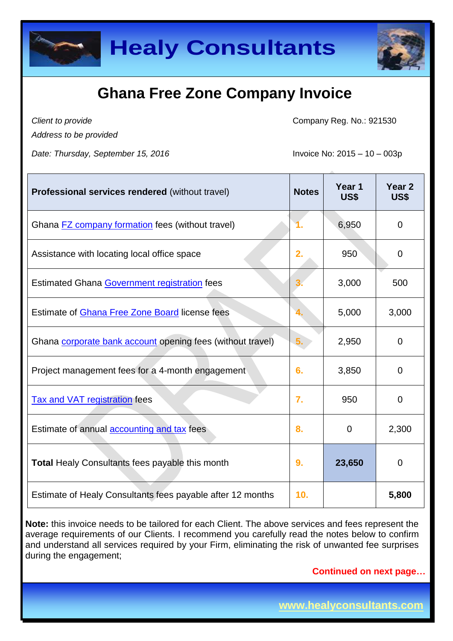



*Client to provide Address to be provided* Company Reg. No.: 921530

*Date: Thursday, September 15, 2016* Invoice No: 2015 – 10 – 003p

| <b>Professional services rendered (without travel)</b>     | <b>Notes</b> | Year <sub>1</sub><br><b>US\$</b> | Year <sub>2</sub><br><b>US\$</b> |
|------------------------------------------------------------|--------------|----------------------------------|----------------------------------|
| Ghana <b>FZ</b> company formation fees (without travel)    |              | 6,950                            | 0                                |
| Assistance with locating local office space                | 2.           | 950                              | 0                                |
| <b>Estimated Ghana Government registration fees</b>        |              | 3,000                            | 500                              |
| Estimate of <b>Ghana Free Zone Board</b> license fees      | 4.           | 5,000                            | 3,000                            |
| Ghana corporate bank account opening fees (without travel) | 5.           | 2,950                            | $\overline{0}$                   |
| Project management fees for a 4-month engagement           | 6.           | 3,850                            | $\overline{0}$                   |
| <b>Tax and VAT registration fees</b>                       | 7.           | 950                              | 0                                |
| Estimate of annual <b>accounting and tax</b> fees          | 8.           | $\Omega$                         | 2,300                            |
| <b>Total Healy Consultants fees payable this month</b>     | 9.           | 23,650                           | $\overline{0}$                   |
| Estimate of Healy Consultants fees payable after 12 months | 10.          |                                  | 5,800                            |

**Note:** this invoice needs to be tailored for each Client. The above services and fees represent the average requirements of our Clients. I recommend you carefully read the notes below to confirm and understand all services required by your Firm, eliminating the risk of unwanted fee surprises during the engagement;

**Continued on next page…**

**www.healyconsultants.com**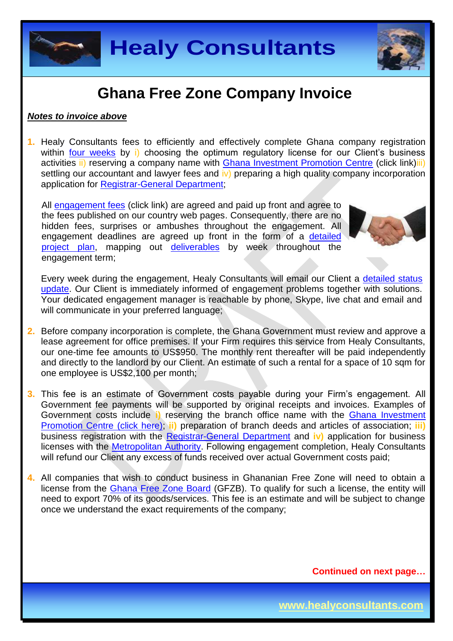



#### *Notes to invoice above*

**1.** Healy Consultants fees to efficiently and effectively complete Ghana company registration within [four weeks](http://www.healyconsultants.com/ghana-company-registration/fees-timelines/#timelines) by i) choosing the optimum regulatory license for our Client's business activities ii) reserving a company name with [Ghana Investment Promotion Centre](http://www.gipcghana.com/) (click link)iii) settling our accountant and lawyer fees and iv) preparing a high quality company incorporation application for [Registrar-General Department;](http://www.rgd.gov.gh/)

All [engagement fees](http://www.healyconsultants.com/company-registration-fees/) (click link) are agreed and paid up front and agree to the fees published on our country web pages. Consequently, there are no hidden fees, surprises or ambushes throughout the engagement. All engagement deadlines are agreed up front in the form of a [detailed](http://www.healyconsultants.com/index-important-links/example-project-plan/)  [project plan,](http://www.healyconsultants.com/index-important-links/example-project-plan/) mapping out [deliverables](http://www.healyconsultants.com/deliverables-to-our-clients/) by week throughout the engagement term;



Every week during the engagement, Healy Consultants will email our Client a [detailed status](http://www.healyconsultants.com/index-important-links/weekly-engagement-status-email/)  [update.](http://www.healyconsultants.com/index-important-links/weekly-engagement-status-email/) Our Client is immediately informed of engagement problems together with solutions. Your dedicated engagement manager is reachable by phone, Skype, live chat and email and will communicate in your preferred language;

- **2.** Before company incorporation is complete, the Ghana Government must review and approve a lease agreement for office premises. If your Firm requires this service from Healy Consultants, our one-time fee amounts to US\$950. The monthly rent thereafter will be paid independently and directly to the landlord by our Client. An estimate of such a rental for a space of 10 sqm for one employee is US\$2,100 per month;
- **3.** This fee is an estimate of Government costs payable during your Firm's engagement. All Government fee payments will be supported by original receipts and invoices. Examples of Government costs include **i)** reserving the branch office name with the [Ghana Investment](http://www.gipcghana.com/)  [Promotion Centre \(click here\);](http://www.gipcghana.com/) **ii)** preparation of branch deeds and articles of association; **iii)** business registration with the [Registrar-General Department](http://www.rgd.gov.gh/) and **iv)** application for business licenses with the [Metropolitan Authority.](http://www.ama.gov.gh/) Following engagement completion, Healy Consultants will refund our Client any excess of funds received over actual Government costs paid;
- **4.** All companies that wish to conduct business in Ghananian Free Zone will need to obtain a license from the [Ghana Free Zone Board](http://www.gfzb.com.gh/gfzb%20enterprises/index.php) (GFZB). To qualify for such a license, the entity will need to export 70% of its goods/services. This fee is an estimate and will be subject to change once we understand the exact requirements of the company;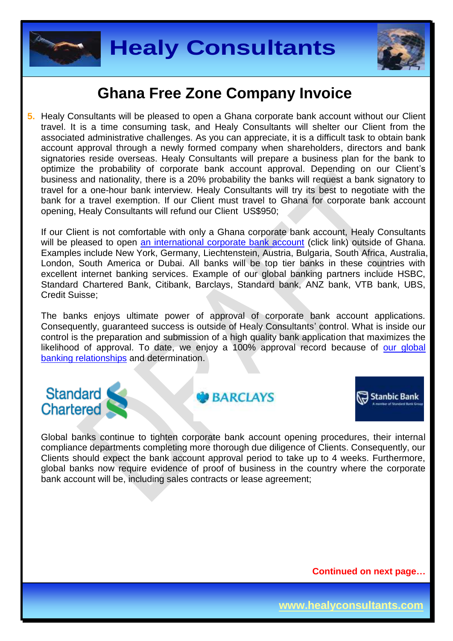



**5.** Healy Consultants will be pleased to open a Ghana corporate bank account without our Client travel. It is a time consuming task, and Healy Consultants will shelter our Client from the associated administrative challenges. As you can appreciate, it is a difficult task to obtain bank account approval through a newly formed company when shareholders, directors and bank signatories reside overseas. Healy Consultants will prepare a business plan for the bank to optimize the probability of corporate bank account approval. Depending on our Client's business and nationality, there is a 20% probability the banks will request a bank signatory to travel for a one-hour bank interview. Healy Consultants will try its best to negotiate with the bank for a travel exemption. If our Client must travel to Ghana for corporate bank account opening, Healy Consultants will refund our Client US\$950;

If our Client is not comfortable with only a Ghana corporate bank account, Healy Consultants will be pleased to open [an international corporate bank account](http://www.healyconsultants.com/international-banking/) (click link) outside of Ghana. Examples include New York, Germany, Liechtenstein, Austria, Bulgaria, South Africa, Australia, London, South America or Dubai. All banks will be top tier banks in these countries with excellent internet banking services. Example of our global banking partners include HSBC, Standard Chartered Bank, Citibank, Barclays, Standard bank, ANZ bank, VTB bank, UBS, Credit Suisse;

The banks enjoys ultimate power of approval of corporate bank account applications. Consequently, guaranteed success is outside of Healy Consultants' control. What is inside our control is the preparation and submission of a high quality bank application that maximizes the likelihood of approval. To date, we enjoy a 100% approval record because of our global [banking relationships](http://www.healyconsultants.com/international-banking/corporate-accounts/) and determination.

#### Standard **Chartered**

**GO BARCIAYS** 



Global banks continue to tighten corporate bank account opening procedures, their internal compliance departments completing more thorough due diligence of Clients. Consequently, our Clients should expect the bank account approval period to take up to 4 weeks. Furthermore, global banks now require evidence of proof of business in the country where the corporate bank account will be, including sales contracts or lease agreement;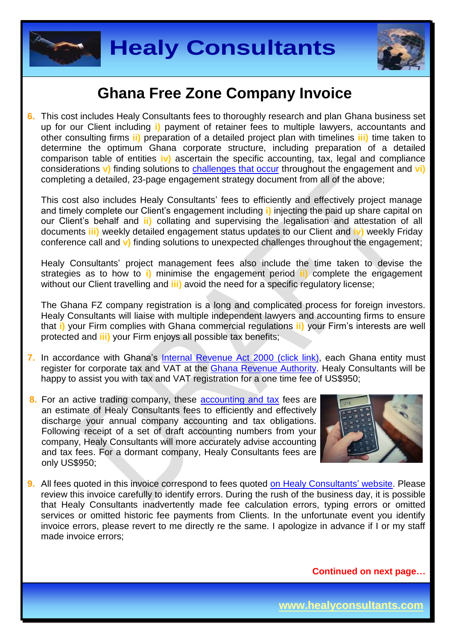



**6.** This cost includes Healy Consultants fees to thoroughly research and plan Ghana business set up for our Client including **i)** payment of retainer fees to multiple lawyers, accountants and other consulting firms **ii)** preparation of a detailed project plan with timelines **iii)** time taken to determine the optimum Ghana corporate structure, including preparation of a detailed comparison table of entities **iv)** ascertain the specific accounting, tax, legal and compliance considerations **v**) finding solutions to **challenges that occur** throughout the engagement and **vi**) completing a detailed, 23-page engagement strategy document from all of the above;

This cost also includes Healy Consultants' fees to efficiently and effectively project manage and timely complete our Client's engagement including **i)** injecting the paid up share capital on our Client's behalf and **ii)** collating and supervising the legalisation and attestation of all documents **iii)** weekly detailed engagement status updates to our Client and **iv)** weekly Friday conference call and **v)** finding solutions to unexpected challenges throughout the engagement;

Healy Consultants' project management fees also include the time taken to devise the strategies as to how to **i)** minimise the engagement period **ii)** complete the engagement without our Client travelling and **iii)** avoid the need for a specific regulatory license;

The Ghana FZ company registration is a long and complicated process for foreign investors. Healy Consultants will liaise with multiple independent lawyers and accounting firms to ensure that **i)** your Firm complies with Ghana commercial regulations **ii)** your Firm's interests are well protected and **iii)** your Firm enjoys all possible tax benefits;

- **7.** In accordance with Ghana's [Internal Revenue Act 2000 \(click link\),](http://www.gra.gov.gh/docs/info/irs_act.pdf) each Ghana entity must register for corporate tax and VAT at the [Ghana Revenue Authority.](http://www.gra.gov.gh/) Healy Consultants will be happy to assist you with tax and VAT registration for a one time fee of US\$950;
- **8.** For an active trading company, these [accounting and tax](http://www.healyconsultants.com/ghana-company-registration/accounting-legal/) fees are an estimate of Healy Consultants fees to efficiently and effectively discharge your annual company accounting and tax obligations. Following receipt of a set of draft accounting numbers from your company, Healy Consultants will more accurately advise accounting and tax fees. For a dormant company, Healy Consultants fees are only US\$950;



**9.** All fees quoted in this invoice correspond to fees quoted [on Healy Consultants'](http://www.healyconsultants.com/company-registration-fees/) website. Please review this invoice carefully to identify errors. During the rush of the business day, it is possible that Healy Consultants inadvertently made fee calculation errors, typing errors or omitted services or omitted historic fee payments from Clients. In the unfortunate event you identify invoice errors, please revert to me directly re the same. I apologize in advance if I or my staff made invoice errors;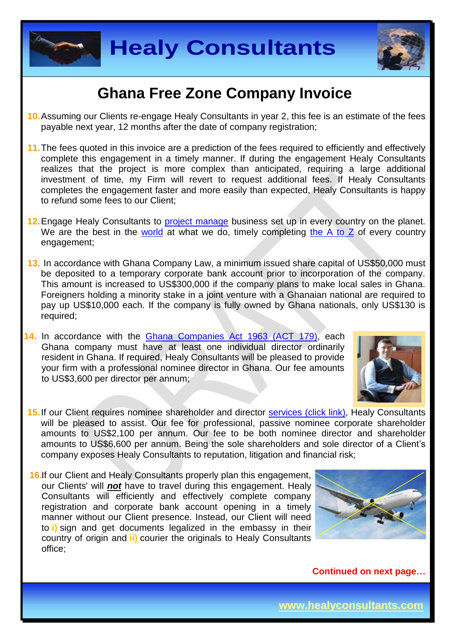



- **10.**Assuming our Clients re-engage Healy Consultants in year 2, this fee is an estimate of the fees payable next year, 12 months after the date of company registration;
- **11.**The fees quoted in this invoice are a prediction of the fees required to efficiently and effectively complete this engagement in a timely manner. If during the engagement Healy Consultants realizes that the project is more complex than anticipated, requiring a large additional investment of time, my Firm will revert to request additional fees. If Healy Consultants completes the engagement faster and more easily than expected, Healy Consultants is happy to refund some fees to our Client;
- 12. Engage Healy Consultants to [project manage](http://www.healyconsultants.com/project-manage-engagements/) business set up in every country on the planet. We are the best in the [world](http://www.healyconsultants.com/best-in-the-world/) at what we do, timely completing the  $A$  to  $Z$  of every country engagement;
- **13.** In accordance with Ghana Company Law, a minimum issued share capital of US\$50,000 must be deposited to a temporary corporate bank account prior to incorporation of the company. This amount is increased to US\$300,000 if the company plans to make local sales in Ghana. Foreigners holding a minority stake in a joint venture with a Ghanaian national are required to pay up US\$10,000 each. If the company is fully owned by Ghana nationals, only US\$130 is required;
- **14.** In accordance with the [Ghana Companies Act 1963 \(ACT 179\),](http://glorylawfirm.com/wp-content/uploads/2013/10/COMPANIES-ACT-1963-Act-179.pdf) each Ghana company must have at least one individual director ordinarily resident in Ghana. If required, Healy Consultants will be pleased to provide your firm with a professional nominee director in Ghana. Our fee amounts to US\$3,600 per director per annum;



- 15. If our Client requires nominee shareholder and director services [\(click link\),](http://www.healyconsultants.com/corporate-outsourcing-services/nominee-shareholders-directors/) Healy Consultants will be pleased to assist. Our fee for professional, passive nominee corporate shareholder amounts to US\$2,100 per annum. Our fee to be both nominee director and shareholder amounts to US\$6,600 per annum. Being the sole shareholders and sole director of a Client's company exposes Healy Consultants to reputation, litigation and financial risk;
- **16.** If our Client and Healy Consultants properly plan this engagement, our Clients' will *not* have to travel during this engagement. Healy Consultants will efficiently and effectively complete company registration and corporate bank account opening in a timely manner without our Client presence. Instead, our Client will need to **i)** sign and get documents legalized in the embassy in their country of origin and **ii)** courier the originals to Healy Consultants office;

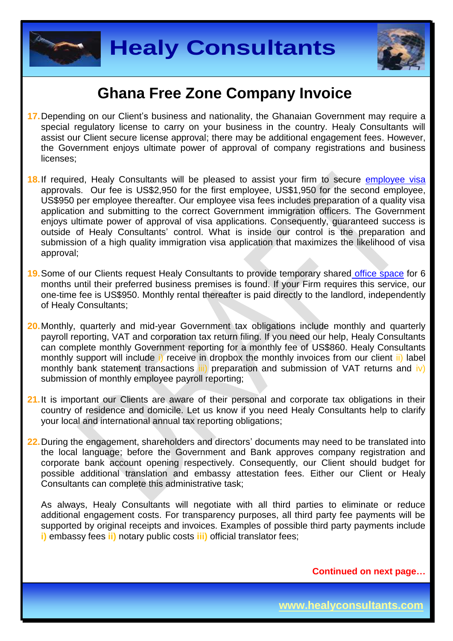



- **17.**Depending on our Client's business and nationality, the Ghanaian Government may require a special regulatory license to carry on your business in the country. Healy Consultants will assist our Client secure license approval; there may be additional engagement fees. However, the Government enjoys ultimate power of approval of company registrations and business licenses;
- **18.**If required, Healy Consultants will be pleased to assist your firm to secure [employee visa](http://www.healyconsultants.com/corporate-advisory-services/migration/) approvals. Our fee is US\$2,950 for the first employee, US\$1,950 for the second employee, US\$950 per employee thereafter. Our employee visa fees includes preparation of a quality visa application and submitting to the correct Government immigration officers. The Government enjoys ultimate power of approval of visa applications. Consequently, guaranteed success is outside of Healy Consultants' control. What is inside our control is the preparation and submission of a high quality immigration visa application that maximizes the likelihood of visa approval;
- **19.**Some of our Clients request Healy Consultants to provide temporary shared [office space](http://www.healyconsultants.com/virtual-office/) for 6 months until their preferred business premises is found. If your Firm requires this service, our one-time fee is US\$950. Monthly rental thereafter is paid directly to the landlord, independently of Healy Consultants;
- **20.**Monthly, quarterly and mid-year Government tax obligations include monthly and quarterly payroll reporting, VAT and corporation tax return filing. If you need our help, Healy Consultants can complete monthly Government reporting for a monthly fee of US\$860. Healy Consultants monthly support will include i) receive in dropbox the monthly invoices from our client ii) label monthly bank statement transactions  $\overline{iii}$  preparation and submission of VAT returns and  $\overline{iv}$ ) submission of monthly employee payroll reporting;
- **21.**It is important our Clients are aware of their personal and corporate tax obligations in their country of residence and domicile. Let us know if you need Healy Consultants help to clarify your local and international annual tax reporting obligations;
- **22.**During the engagement, shareholders and directors' documents may need to be translated into the local language; before the Government and Bank approves company registration and corporate bank account opening respectively. Consequently, our Client should budget for possible additional translation and embassy attestation fees. Either our Client or Healy Consultants can complete this administrative task;

As always, Healy Consultants will negotiate with all third parties to eliminate or reduce additional engagement costs. For transparency purposes, all third party fee payments will be supported by original receipts and invoices. Examples of possible third party payments include **i)** embassy fees **ii)** notary public costs **iii)** official translator fees;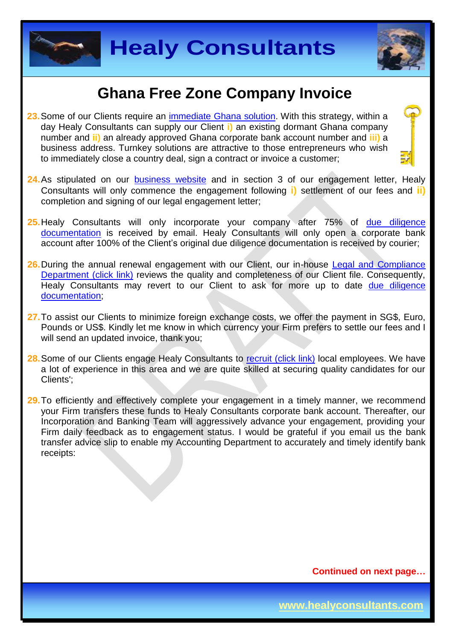



- **23.**Some of our Clients require an [immediate Ghana](http://www.healyconsultants.com/turnkey-solutions/) solution. With this strategy, within a day Healy Consultants can supply our Client **i)** an existing dormant Ghana company number and **ii)** an already approved Ghana corporate bank account number and **iii)** a business address. Turnkey solutions are attractive to those entrepreneurs who wish to immediately close a country deal, sign a contract or invoice a customer;
- 24. As stipulated on our [business website](http://www.healyconsultants.com/) and in section 3 of our engagement letter, Healy Consultants will only commence the engagement following **i)** settlement of our fees and **ii)** completion and signing of our legal engagement letter;
- **25.**Healy Consultants will only incorporate your company after 75% of [due diligence](http://www.healyconsultants.com/due-diligence/)  [documentation](http://www.healyconsultants.com/due-diligence/) is received by email. Healy Consultants will only open a corporate bank account after 100% of the Client's original due diligence documentation is received by courier;
- **26.**During the annual renewal engagement with our Client, our in-house [Legal and Compliance](http://www.healyconsultants.com/about-us/key-personnel/cai-xin-profile/)  [Department \(click link\)](http://www.healyconsultants.com/about-us/key-personnel/cai-xin-profile/) reviews the quality and completeness of our Client file. Consequently, Healy Consultants may revert to our Client to ask for more up to date due diligence [documentation;](http://www.healyconsultants.com/due-diligence/)
- **27.**To assist our Clients to minimize foreign exchange costs, we offer the payment in SG\$, Euro, Pounds or US\$. Kindly let me know in which currency your Firm prefers to settle our fees and I will send an updated invoice, thank you;
- 28. Some of our Clients engage Healy Consultants to [recruit \(click link\)](http://www.healyconsultants.com/corporate-outsourcing-services/how-we-help-our-clients-recruit-quality-employees/) local employees. We have a lot of experience in this area and we are quite skilled at securing quality candidates for our Clients';
- **29.**To efficiently and effectively complete your engagement in a timely manner, we recommend your Firm transfers these funds to Healy Consultants corporate bank account. Thereafter, our Incorporation and Banking Team will aggressively advance your engagement, providing your Firm daily feedback as to engagement status. I would be grateful if you email us the bank transfer advice slip to enable my Accounting Department to accurately and timely identify bank receipts: